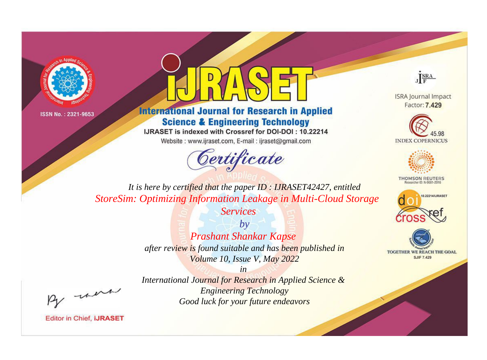



**International Journal for Research in Applied Science & Engineering Technology** 

IJRASET is indexed with Crossref for DOI-DOI: 10.22214

Website: www.ijraset.com, E-mail: ijraset@gmail.com





**ISRA Journal Impact** Factor: 7.429





**THOMSON REUTERS** 



TOGETHER WE REACH THE GOAL **SJIF 7.429** 

*It is here by certified that the paper ID : IJRASET42427, entitled StoreSim: Optimizing Information Leakage in Multi-Cloud Storage* 

*Services*

*by Prashant Shankar Kapse after review is found suitable and has been published in Volume 10, Issue V, May 2022*

, un

*International Journal for Research in Applied Science & Engineering Technology Good luck for your future endeavors*

*in*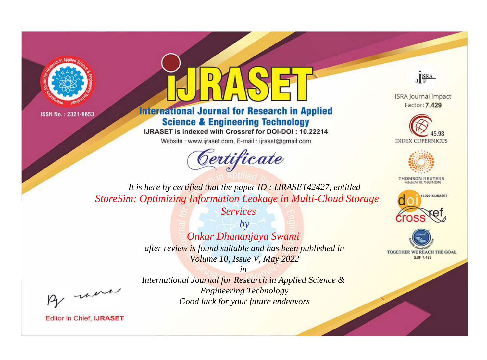



**International Journal for Research in Applied Science & Engineering Technology** 

IJRASET is indexed with Crossref for DOI-DOI: 10.22214

Website: www.ijraset.com, E-mail: ijraset@gmail.com





**ISRA Journal Impact** Factor: 7.429





**THOMSON REUTERS** 



TOGETHER WE REACH THE GOAL **SJIF 7.429** 

*It is here by certified that the paper ID : IJRASET42427, entitled StoreSim: Optimizing Information Leakage in Multi-Cloud Storage* 

*Services*

*by Onkar Dhananjaya Swami after review is found suitable and has been published in Volume 10, Issue V, May 2022*

*in* 

*International Journal for Research in Applied Science & Engineering Technology Good luck for your future endeavors*

, un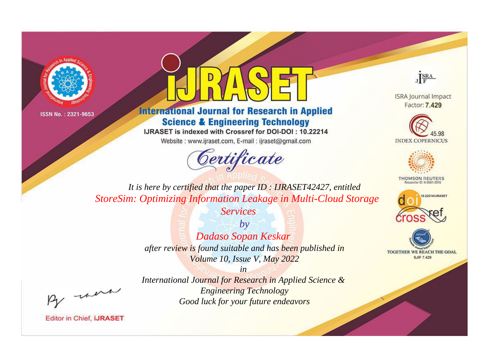



**International Journal for Research in Applied Science & Engineering Technology** 

IJRASET is indexed with Crossref for DOI-DOI: 10.22214

Website: www.ijraset.com, E-mail: ijraset@gmail.com





**ISRA Journal Impact** Factor: 7.429





**THOMSON REUTERS** 



TOGETHER WE REACH THE GOAL **SJIF 7.429** 

*It is here by certified that the paper ID : IJRASET42427, entitled StoreSim: Optimizing Information Leakage in Multi-Cloud Storage* 

*Services*

*by Dadaso Sopan Keskar after review is found suitable and has been published in Volume 10, Issue V, May 2022*

*in International Journal for Research in Applied Science & Engineering Technology Good luck for your future endeavors*

, un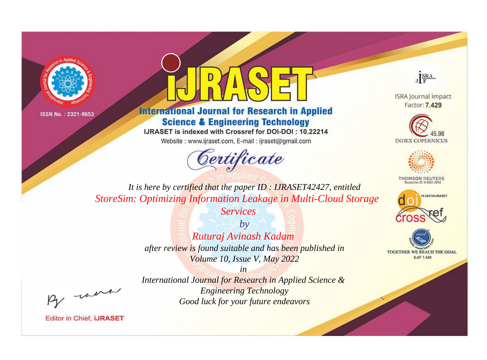



**International Journal for Research in Applied Science & Engineering Technology** 

IJRASET is indexed with Crossref for DOI-DOI: 10.22214

Website: www.ijraset.com, E-mail: ijraset@gmail.com





**ISRA Journal Impact** Factor: 7.429





**THOMSON REUTERS** 



TOGETHER WE REACH THE GOAL **SJIF 7.429** 

*It is here by certified that the paper ID : IJRASET42427, entitled StoreSim: Optimizing Information Leakage in Multi-Cloud Storage* 

*Services*

*by Ruturaj Avinash Kadam after review is found suitable and has been published in Volume 10, Issue V, May 2022*

*in International Journal for Research in Applied Science & Engineering Technology Good luck for your future endeavors*